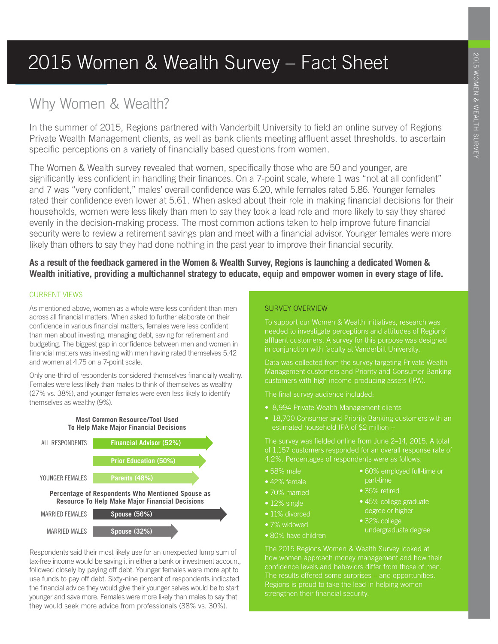# 2015 Women & Wealth Survey – Fact Sheet

# Why Women & Wealth?

In the summer of 2015, Regions partnered with Vanderbilt University to field an online survey of Regions Private Wealth Management clients, as well as bank clients meeting affluent asset thresholds, to ascertain specific perceptions on a variety of financially based questions from women.

The Women & Wealth survey revealed that women, specifically those who are 50 and younger, are significantly less confident in handling their finances. On a 7-point scale, where 1 was "not at all confident" and 7 was "very confident," males' overall confidence was 6.20, while females rated 5.86. Younger females rated their confidence even lower at 5.61. When asked about their role in making financial decisions for their households, women were less likely than men to say they took a lead role and more likely to say they shared evenly in the decision-making process. The most common actions taken to help improve future financial security were to review a retirement savings plan and meet with a financial advisor. Younger females were more likely than others to say they had done nothing in the past year to improve their financial security.

# **As a result of the feedback garnered in the Women & Wealth Survey, Regions is launching a dedicated Women & Wealth initiative, providing a multichannel strategy to educate, equip and empower women in every stage of life.**

## CURRENT VIEWS

As mentioned above, women as a whole were less confident than men across all financial matters. When asked to further elaborate on their confidence in various financial matters, females were less confident than men about investing, managing debt, saving for retirement and budgeting. The biggest gap in confidence between men and women in financial matters was investing with men having rated themselves 5.42 and women at 4.75 on a 7-point scale.

Only one-third of respondents considered themselves financially wealthy. Females were less likely than males to think of themselves as wealthy (27% vs. 38%), and younger females were even less likely to identify themselves as wealthy (9%).





Respondents said their most likely use for an unexpected lump sum of tax-free income would be saving it in either a bank or investment account, followed closely by paying off debt. Younger females were more apt to use funds to pay off debt. Sixty-nine percent of respondents indicated the financial advice they would give their younger selves would be to start younger and save more. Females were more likely than males to say that they would seek more advice from professionals (38% vs. 30%).

# SURVEY OVERVIEW

To support our Women & Wealth initiatives, research was needed to investigate perceptions and attitudes of Regions' affluent customers. A survey for this purpose was designed

Data was collected from the survey targeting Private Wealth Management customers and Priority and Consumer Banking customers with high income-producing assets (IPA).

The final survey audience included:

- 8,994 Private Wealth Management clients
- 18,700 Consumer and Priority Banking customers with an estimated household IPA of \$2 million +

The survey was fielded online from June 2–14, 2015. A total of 1,157 customers responded for an overall response rate of 4.2%. Percentages of respondents were as follows:

- 58% male
- 42% female
- 70% married
- 12% single
- 11% divorced
- 7% widowed
- 80% have children
- 60% employed full-time or part-time
- 35% retired
- 45% college graduate degree or higher
- 32% college undergraduate degree

The 2015 Regions Women & Wealth Survey looked at how women approach money management and how their Regions is proud to take the lead in helping women strengthen their financial security.